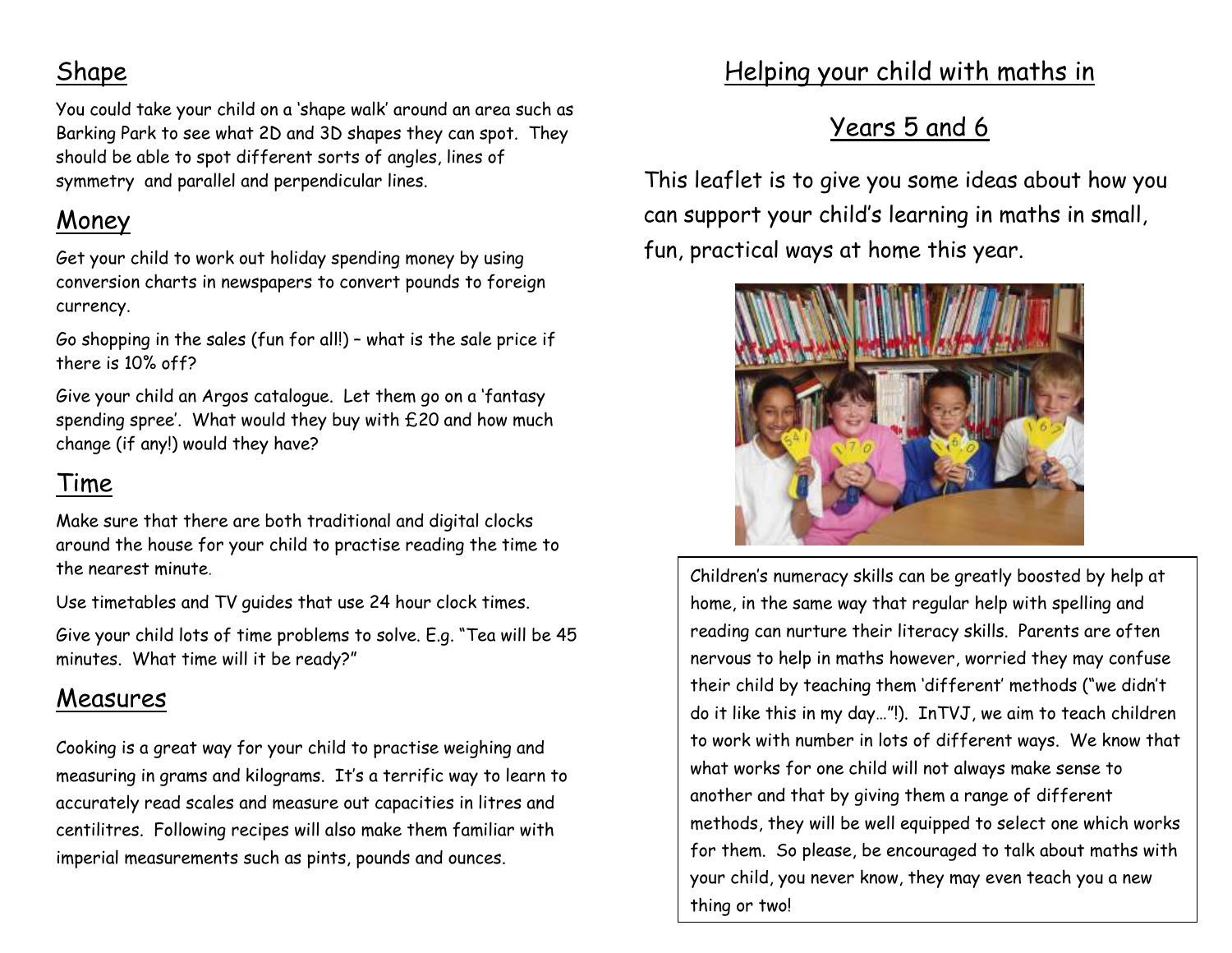## Shape

You could take your child on a 'shape walk' around an area such as Barking Park to see what 2D and 3D shapes they can spot. They should be able to spot different sorts of angles, lines of symmetry and parallel and perpendicular lines.

## Money

Get your child to work out holiday spending money by using conversion charts in newspapers to convert pounds to foreign currency.

Go shopping in the sales (fun for all!) – what is the sale price if there is 10% off?

Give your child an Argos catalogue. Let them go on a 'fantasy spending spree'. What would they buy with £20 and how much change (if any!) would they have?

## Time

Make sure that there are both traditional and digital clocks around the house for your child to practise reading the time to the nearest minute.

Use timetables and TV guides that use 24 hour clock times.

Give your child lots of time problems to solve. E.g. "Tea will be 45 minutes. What time will it be ready?"

## Measures

Cooking is a great way for your child to practise weighing and measuring in grams and kilograms. It's a terrific way to learn to accurately read scales and measure out capacities in litres and centilitres. Following recipes will also make them familiar with imperial measurements such as pints, pounds and ounces.

## Helping your child with maths in

# Years 5 and 6

This leaflet is to give you some ideas about how you can support your child's learning in maths in small, fun, practical ways at home this year.



Children's numeracy skills can be greatly boosted by help at home, in the same way that regular help with spelling and reading can nurture their literacy skills. Parents are often nervous to help in maths however, worried they may confuse their child by teaching them 'different' methods ("we didn't do it like this in my day…"!). InTVJ, we aim to teach children to work with number in lots of different ways. We know that what works for one child will not always make sense to another and that by giving them a range of different methods, they will be well equipped to select one which works for them. So please, be encouraged to talk about maths with your child, you never know, they may even teach you a new thing or two!